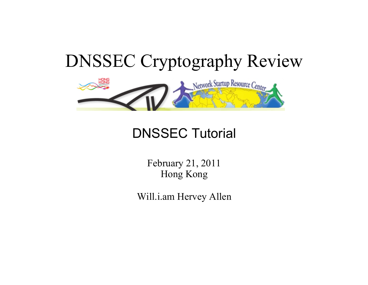

#### DNSSEC Tutorial

February 21, 2011 Hong Kong

Will.i.am Hervey Allen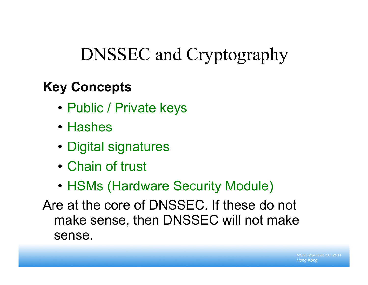# DNSSEC and Cryptography

#### **Key Concepts**

- Public / Private keys
- Hashes
- Digital signatures
- Chain of trust
- HSMs (Hardware Security Module)

Are at the core of DNSSEC. If these do not make sense, then DNSSEC will not make sense.

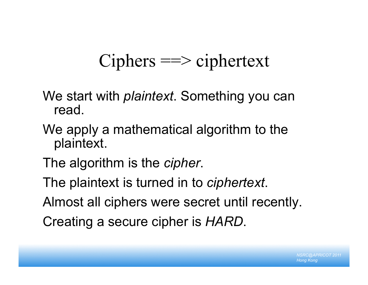# Ciphers ==> ciphertext

- We start with *plaintext*. Something you can read.
- We apply a mathematical algorithm to the plaintext.
- The algorithm is the *cipher*.
- The plaintext is turned in to *ciphertext*.
- Almost all ciphers were secret until recently.
- Creating a secure cipher is *HARD*.

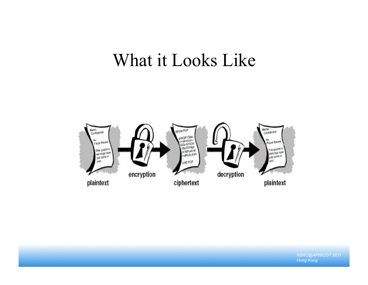### What it Looks Like

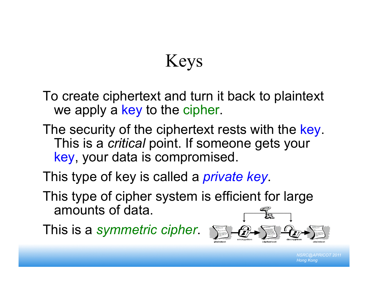# Keys

To create ciphertext and turn it back to plaintext we apply a key to the cipher.

- The security of the ciphertext rests with the key. This is a *critical* point. If someone gets your key, your data is compromised.
- This type of key is called a *private key*.
- This type of cipher system is efficient for large amounts of data.

This is a *symmetric cipher*.

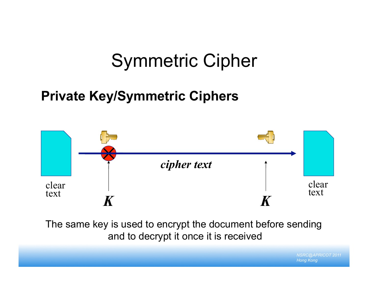# Symmetric Cipher

#### **Private Key/Symmetric Ciphers**



The same key is used to encrypt the document before sending and to decrypt it once it is received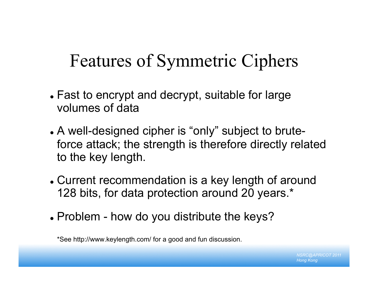## Features of Symmetric Ciphers

- Fast to encrypt and decrypt, suitable for large volumes of data
- A well-designed cipher is "only" subject to bruteforce attack; the strength is therefore directly related to the key length.
- Current recommendation is a key length of around 128 bits, for data protection around 20 years.\*
- Problem how do you distribute the keys?

\*See http://www.keylength.com/ for a good and fun discussion.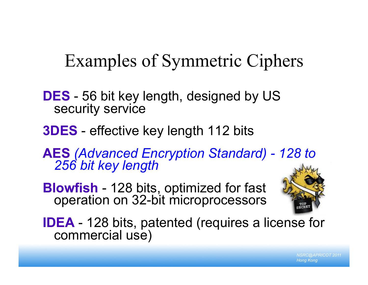## Examples of Symmetric Ciphers

- **DES** 56 bit key length, designed by US security service
- **3DES** effective key length 112 bits

**AES** *(Advanced Encryption Standard) - 128 to 256 bit key length* 

**Blowfish** - 128 bits, optimized for fast operation on 32-bit microprocessors



**IDEA** - 128 bits, patented (requires a license for commercial use)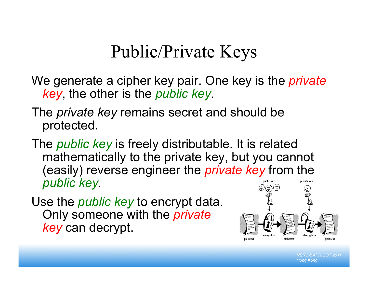## Public/Private Keys

We generate a cipher key pair. One key is the *private key*, the other is the *public key*.

The *private key* remains secret and should be protected.

The *public key* is freely distributable. It is related mathematically to the private key, but you cannot (easily) reverse engineer the *private key* from the *public key.*  private key

Use the *public key* to encrypt data. Only someone with the *private key* can decrypt.

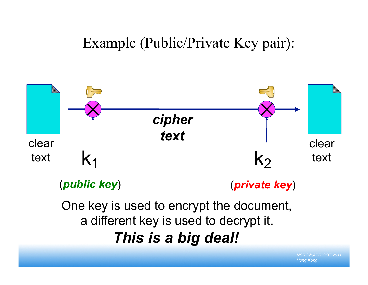#### Example (Public/Private Key pair):



(*public key*)

(*private key*)

One key is used to encrypt the document, a different key is used to decrypt it. *This is a big deal!*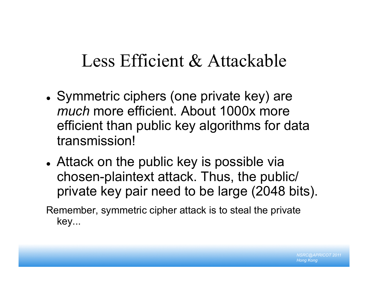## Less Efficient & Attackable

- Symmetric ciphers (one private key) are *much* more efficient. About 1000x more efficient than public key algorithms for data transmission!
- Attack on the public key is possible via chosen-plaintext attack. Thus, the public/ private key pair need to be large (2048 bits).

Remember, symmetric cipher attack is to steal the private key...

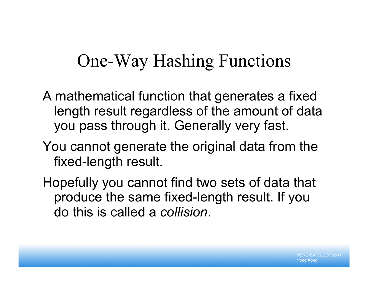## One-Way Hashing Functions

A mathematical function that generates a fixed length result regardless of the amount of data you pass through it. Generally very fast.

- You cannot generate the original data from the fixed-length result.
- Hopefully you cannot find two sets of data that produce the same fixed-length result. If you do this is called a *collision*.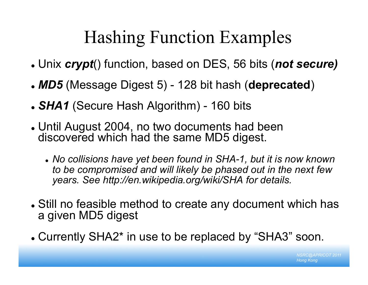# Hashing Function Examples

- Unix *crypt*() function, based on DES, 56 bits (*not secure)*
- *MD5* (Message Digest 5) 128 bit hash (**deprecated**)
- *SHA1* (Secure Hash Algorithm) 160 bits
- Until August 2004, no two documents had been discovered which had the same MD5 digest.
	- *No collisions have yet been found in SHA-1, but it is now known to be compromised and will likely be phased out in the next few years. See http://en.wikipedia.org/wiki/SHA for details.*
- Still no feasible method to create any document which has a given MD5 digest
- Currently SHA2\* in use to be replaced by "SHA3" soon.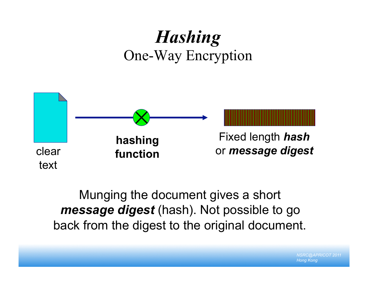## *Hashing* One-Way Encryption



#### Munging the document gives a short *message digest* (hash). Not possible to go back from the digest to the original document.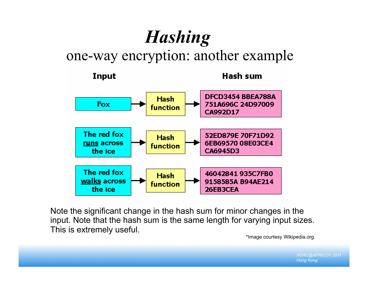# *Hashing*

one-way encryption: another example



Note the significant change in the hash sum for minor changes in the input. Note that the hash sum is the same length for varying input sizes. This is extremely useful.

\*Image courtesy Wikipedia.org.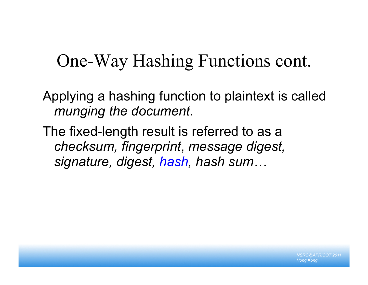## One-Way Hashing Functions cont.

Applying a hashing function to plaintext is called *munging the document*.

The fixed-length result is referred to as a *checksum, fingerprint*, *message digest, signature, digest, hash, hash sum…*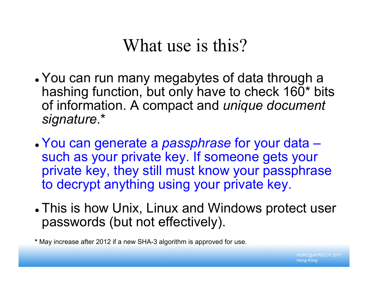## What use is this?

- You can run many megabytes of data through a hashing function, but only have to check 160\* bits of information. A compact and *unique document signature*.\*
- You can generate a *passphrase* for your data such as your private key. If someone gets your private key, they still must know your passphrase to decrypt anything using your private key.
- This is how Unix, Linux and Windows protect user passwords (but not effectively).

**\*** May increase after 2012 if a new SHA-3 algorithm is approved for use.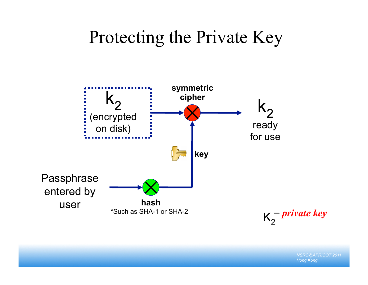### Protecting the Private Key

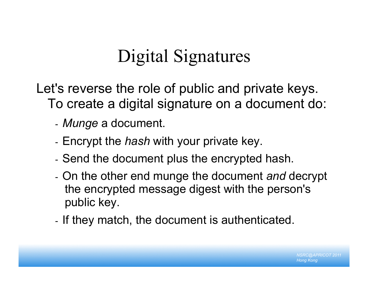# Digital Signatures

Let's reverse the role of public and private keys. To create a digital signature on a document do:

- *Munge* a document.
- Encrypt the *hash* with your private key.
- Send the document plus the encrypted hash.
- On the other end munge the document *and* decrypt the encrypted message digest with the person's public key.
- If they match, the document is authenticated.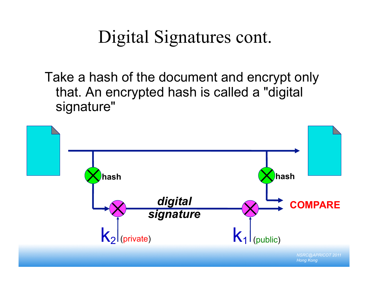# Digital Signatures cont.

Take a hash of the document and encrypt only that. An encrypted hash is called a "digital signature"

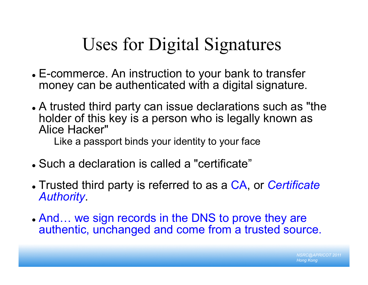# Uses for Digital Signatures

- E-commerce. An instruction to your bank to transfer money can be authenticated with a digital signature.
- A trusted third party can issue declarations such as "the holder of this key is a person who is legally known as Alice Hacker"

Like a passport binds your identity to your face

- Such a declaration is called a "certificate"
- Trusted third party is referred to as a CA, or *Certificate Authority*.
- And… we sign records in the DNS to prove they are authentic, unchanged and come from a trusted source.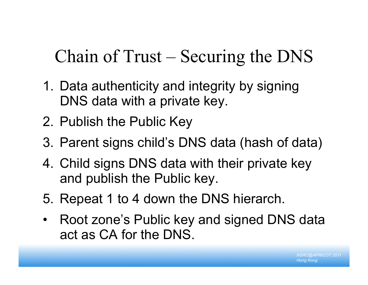# Chain of Trust – Securing the DNS

- 1. Data authenticity and integrity by signing DNS data with a private key.
- 2. Publish the Public Key
- 3. Parent signs child's DNS data (hash of data)
- 4. Child signs DNS data with their private key and publish the Public key.
- 5. Repeat 1 to 4 down the DNS hierarch.
- Root zone's Public key and signed DNS data act as CA for the DNS.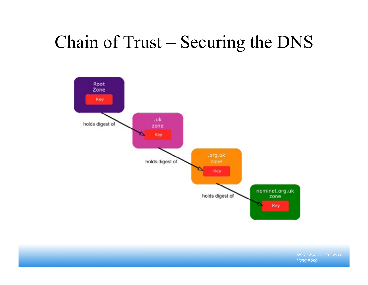# Chain of Trust – Securing the DNS

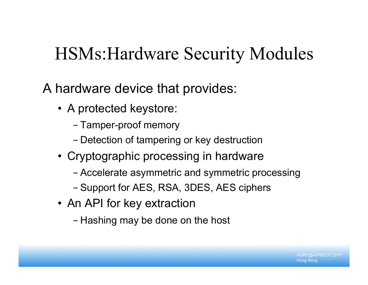# HSMs:Hardware Security Modules

A hardware device that provides:

- A protected keystore:
	- Tamper-proof memory
	- Detection of tampering or key destruction
- Cryptographic processing in hardware
	- Accelerate asymmetric and symmetric processing
	- Support for AES, RSA, 3DES, AES ciphers
- An API for key extraction
	- Hashing may be done on the host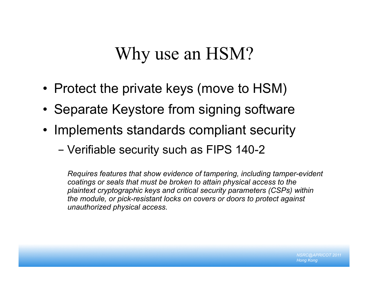### Why use an HSM?

- Protect the private keys (move to HSM)
- Separate Keystore from signing software
- Implements standards compliant security
	- Verifiable security such as FIPS 140-2

*Requires features that show evidence of tampering, including tamper-evident coatings or seals that must be broken to attain physical access to the plaintext cryptographic keys and critical security parameters (CSPs) within the module, or pick-resistant locks on covers or doors to protect against unauthorized physical access.*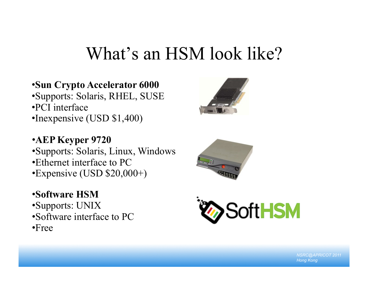## What's an HSM look like?

#### •**Sun Crypto Accelerator 6000**  •Supports: Solaris, RHEL, SUSE •PCI interface •Inexpensive (USD \$1,400)

#### •**AEP Keyper 9720**

•Supports: Solaris, Linux, Windows •Ethernet interface to PC •Expensive (USD \$20,000+)

#### •**Software HSM**

- •Supports: UNIX
- •Software interface to PC
- •Free





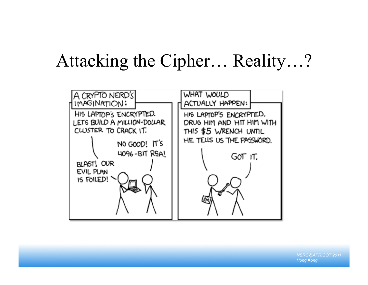## Attacking the Cipher… Reality…?